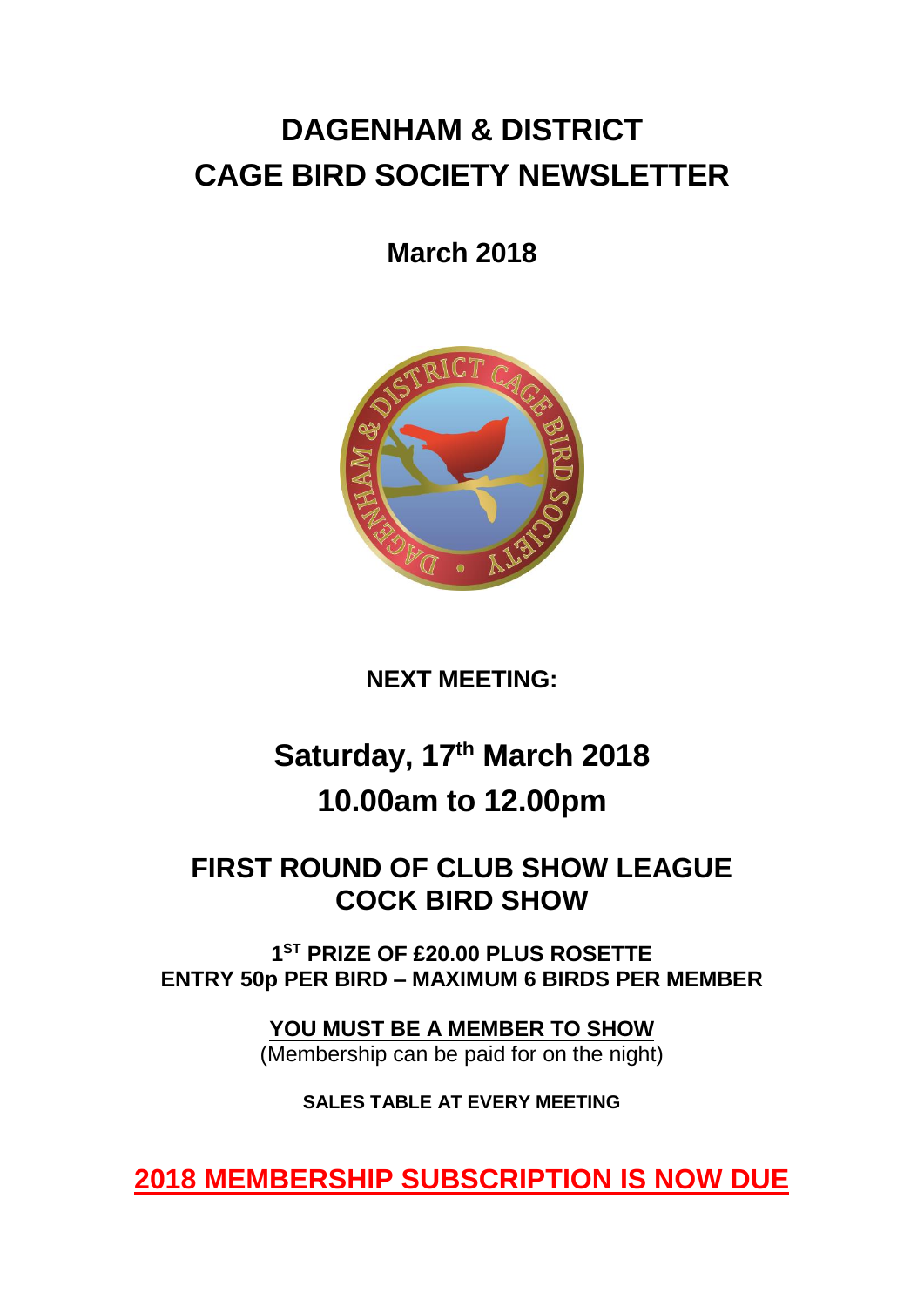# **DAGENHAM & DISTRICT CAGE BIRD SOCIETY NEWSLETTER**

# **March 2018**



## **NEXT MEETING:**

# **Saturday, 17th March 2018 10.00am to 12.00pm**

## **FIRST ROUND OF CLUB SHOW LEAGUE COCK BIRD SHOW**

**1 ST PRIZE OF £20.00 PLUS ROSETTE ENTRY 50p PER BIRD – MAXIMUM 6 BIRDS PER MEMBER**

> **YOU MUST BE A MEMBER TO SHOW** (Membership can be paid for on the night)

> > **SALES TABLE AT EVERY MEETING**

**2018 MEMBERSHIP SUBSCRIPTION IS NOW DUE**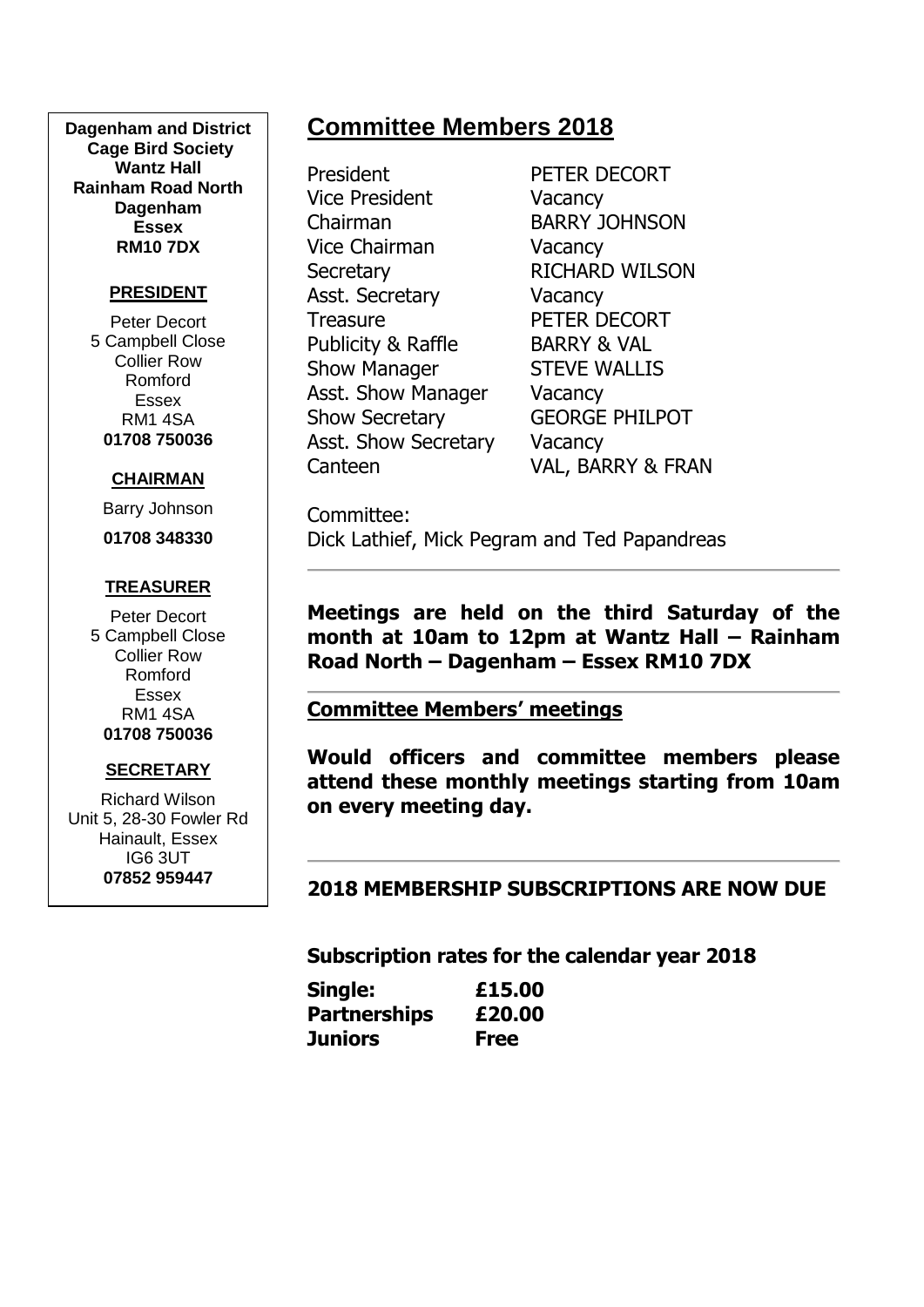**Dagenham and District Cage Bird Society Wantz Hall Rainham Road North Dagenham Essex RM10 7DX**

#### **PRESIDENT**

Peter Decort 5 Campbell Close Collier Row Romford Essex RM1 4SA **01708 750036**

#### **CHAIRMAN**

Barry Johnson

**01708 348330**

#### **TREASURER**

Peter Decort 5 Campbell Close Collier Row Romford Essex RM1 4SA **01708 750036**

#### **SECRETARY**

Richard Wilson Unit 5, 28-30 Fowler Rd Hainault, Essex IG6 3UT **07852 959447**

## **Committee Members 2018**

President PETER DECORT Vice President Vacancy Chairman BARRY JOHNSON Vice Chairman Vacancy Secretary RICHARD WILSON Asst. Secretary **Vacancy** Treasure PETER DECORT Publicity & Raffle BARRY & VAL Show Manager STEVE WALLIS Asst. Show Manager Vacancy Show Secretary **GEORGE PHILPOT** Asst. Show Secretary Vacancy

Canteen VAL, BARRY & FRAN

Committee: Dick Lathief, Mick Pegram and Ted Papandreas

**Meetings are held on the third Saturday of the month at 10am to 12pm at Wantz Hall – Rainham Road North – Dagenham – Essex RM10 7DX**

#### **Committee Members' meetings**

**Would officers and committee members please attend these monthly meetings starting from 10am on every meeting day.**

**2018 MEMBERSHIP SUBSCRIPTIONS ARE NOW DUE**

**Subscription rates for the calendar year 2018**

| Single:             | £15.00      |
|---------------------|-------------|
| <b>Partnerships</b> | £20.00      |
| Juniors             | <b>Free</b> |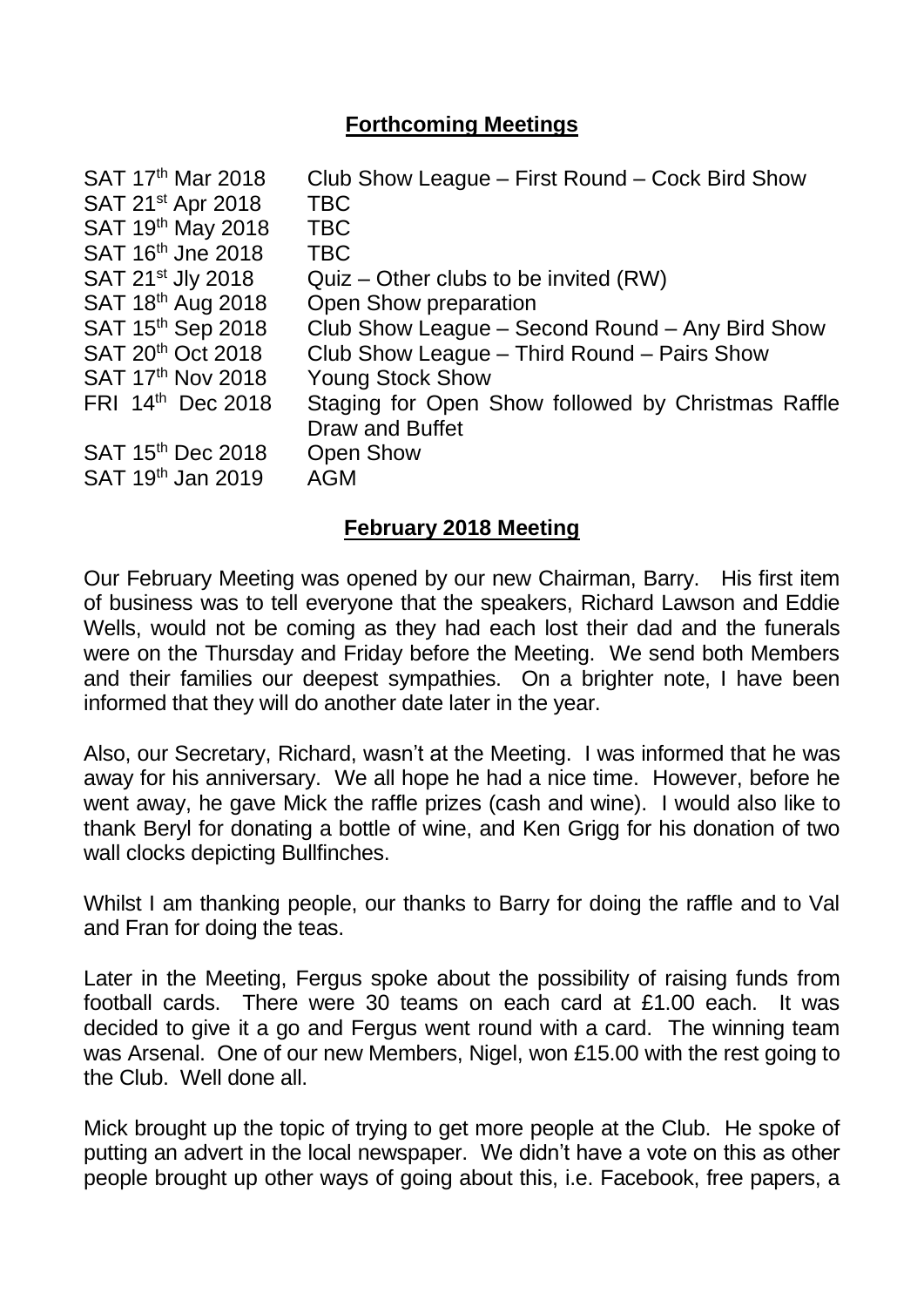### **Forthcoming Meetings**

| SAT 17 <sup>th</sup> Mar 2018 | Club Show League – First Round – Cock Bird Show    |
|-------------------------------|----------------------------------------------------|
| SAT 21 <sup>st</sup> Apr 2018 | <b>TBC</b>                                         |
| SAT 19th May 2018             | <b>TBC</b>                                         |
| SAT 16 <sup>th</sup> Jne 2018 | <b>TBC</b>                                         |
| SAT 21 <sup>st</sup> Jly 2018 | $Quiz - Other clubs to be invited (RW)$            |
| SAT 18th Aug 2018             | Open Show preparation                              |
| SAT 15th Sep 2018             | Club Show League - Second Round - Any Bird Show    |
| SAT 20 <sup>th</sup> Oct 2018 | Club Show League - Third Round - Pairs Show        |
| SAT 17 <sup>th</sup> Nov 2018 | <b>Young Stock Show</b>                            |
| FRI 14 <sup>th</sup> Dec 2018 | Staging for Open Show followed by Christmas Raffle |
|                               | Draw and Buffet                                    |
| SAT 15 <sup>th</sup> Dec 2018 | <b>Open Show</b>                                   |
| SAT 19 <sup>th</sup> Jan 2019 | <b>AGM</b>                                         |
|                               |                                                    |

### **February 2018 Meeting**

Our February Meeting was opened by our new Chairman, Barry. His first item of business was to tell everyone that the speakers, Richard Lawson and Eddie Wells, would not be coming as they had each lost their dad and the funerals were on the Thursday and Friday before the Meeting. We send both Members and their families our deepest sympathies. On a brighter note, I have been informed that they will do another date later in the year.

Also, our Secretary, Richard, wasn't at the Meeting. I was informed that he was away for his anniversary. We all hope he had a nice time. However, before he went away, he gave Mick the raffle prizes (cash and wine). I would also like to thank Beryl for donating a bottle of wine, and Ken Grigg for his donation of two wall clocks depicting Bullfinches.

Whilst I am thanking people, our thanks to Barry for doing the raffle and to Val and Fran for doing the teas.

Later in the Meeting, Fergus spoke about the possibility of raising funds from football cards. There were 30 teams on each card at £1.00 each. It was decided to give it a go and Fergus went round with a card. The winning team was Arsenal. One of our new Members, Nigel, won £15.00 with the rest going to the Club. Well done all.

Mick brought up the topic of trying to get more people at the Club. He spoke of putting an advert in the local newspaper. We didn't have a vote on this as other people brought up other ways of going about this, i.e. Facebook, free papers, a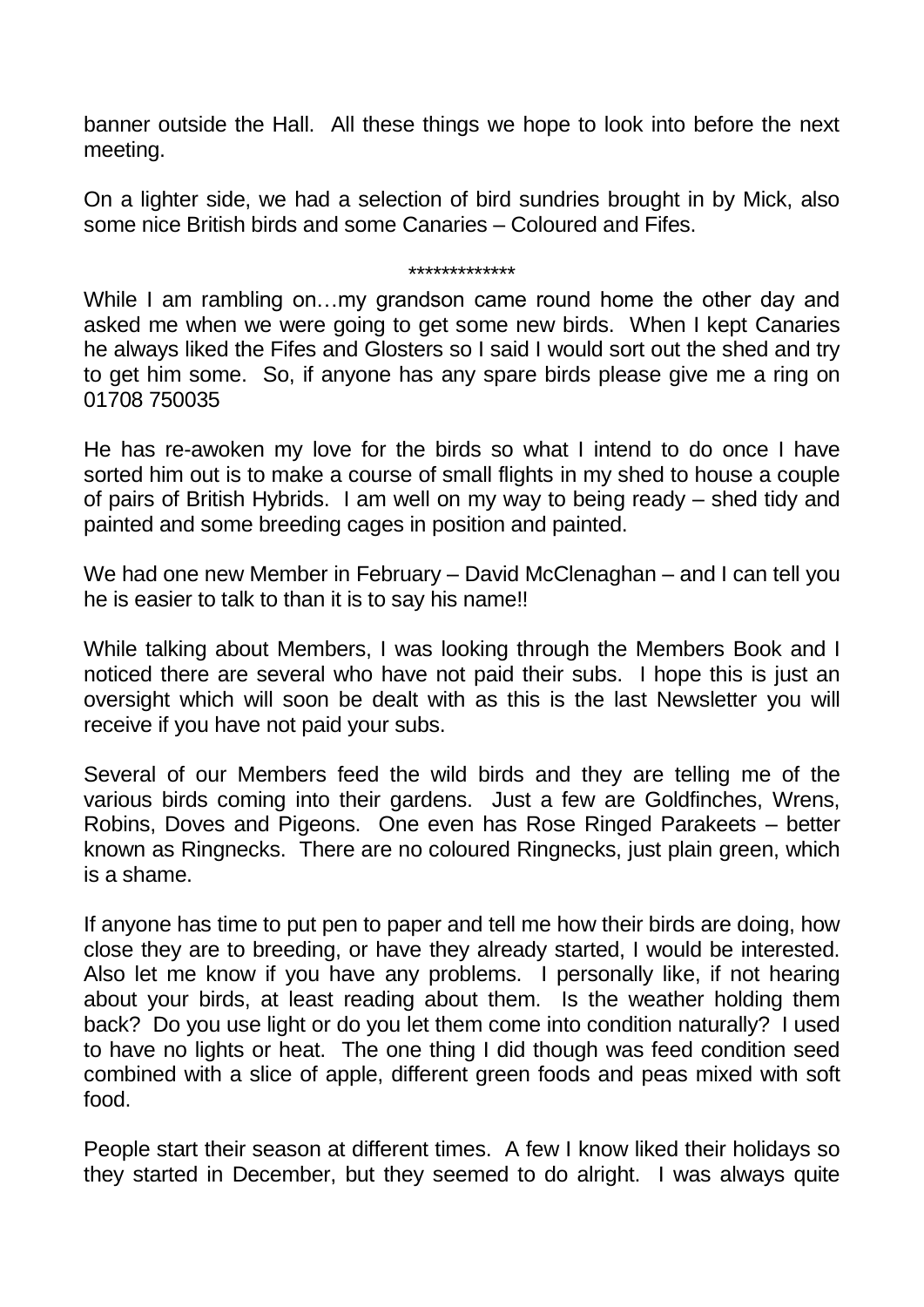banner outside the Hall. All these things we hope to look into before the next meeting.

On a lighter side, we had a selection of bird sundries brought in by Mick, also some nice British birds and some Canaries – Coloured and Fifes.

## \*\*\*\*\*\*\*\*\*\*\*\*\*

While I am rambling on…my grandson came round home the other day and asked me when we were going to get some new birds. When I kept Canaries he always liked the Fifes and Glosters so I said I would sort out the shed and try to get him some. So, if anyone has any spare birds please give me a ring on 01708 750035

He has re-awoken my love for the birds so what I intend to do once I have sorted him out is to make a course of small flights in my shed to house a couple of pairs of British Hybrids. I am well on my way to being ready – shed tidy and painted and some breeding cages in position and painted.

We had one new Member in February – David McClenaghan – and I can tell you he is easier to talk to than it is to say his name!!

While talking about Members, I was looking through the Members Book and I noticed there are several who have not paid their subs. I hope this is just an oversight which will soon be dealt with as this is the last Newsletter you will receive if you have not paid your subs.

Several of our Members feed the wild birds and they are telling me of the various birds coming into their gardens. Just a few are Goldfinches, Wrens, Robins, Doves and Pigeons. One even has Rose Ringed Parakeets – better known as Ringnecks. There are no coloured Ringnecks, just plain green, which is a shame.

If anyone has time to put pen to paper and tell me how their birds are doing, how close they are to breeding, or have they already started, I would be interested. Also let me know if you have any problems. I personally like, if not hearing about your birds, at least reading about them. Is the weather holding them back? Do you use light or do you let them come into condition naturally? I used to have no lights or heat. The one thing I did though was feed condition seed combined with a slice of apple, different green foods and peas mixed with soft food.

People start their season at different times. A few I know liked their holidays so they started in December, but they seemed to do alright. I was always quite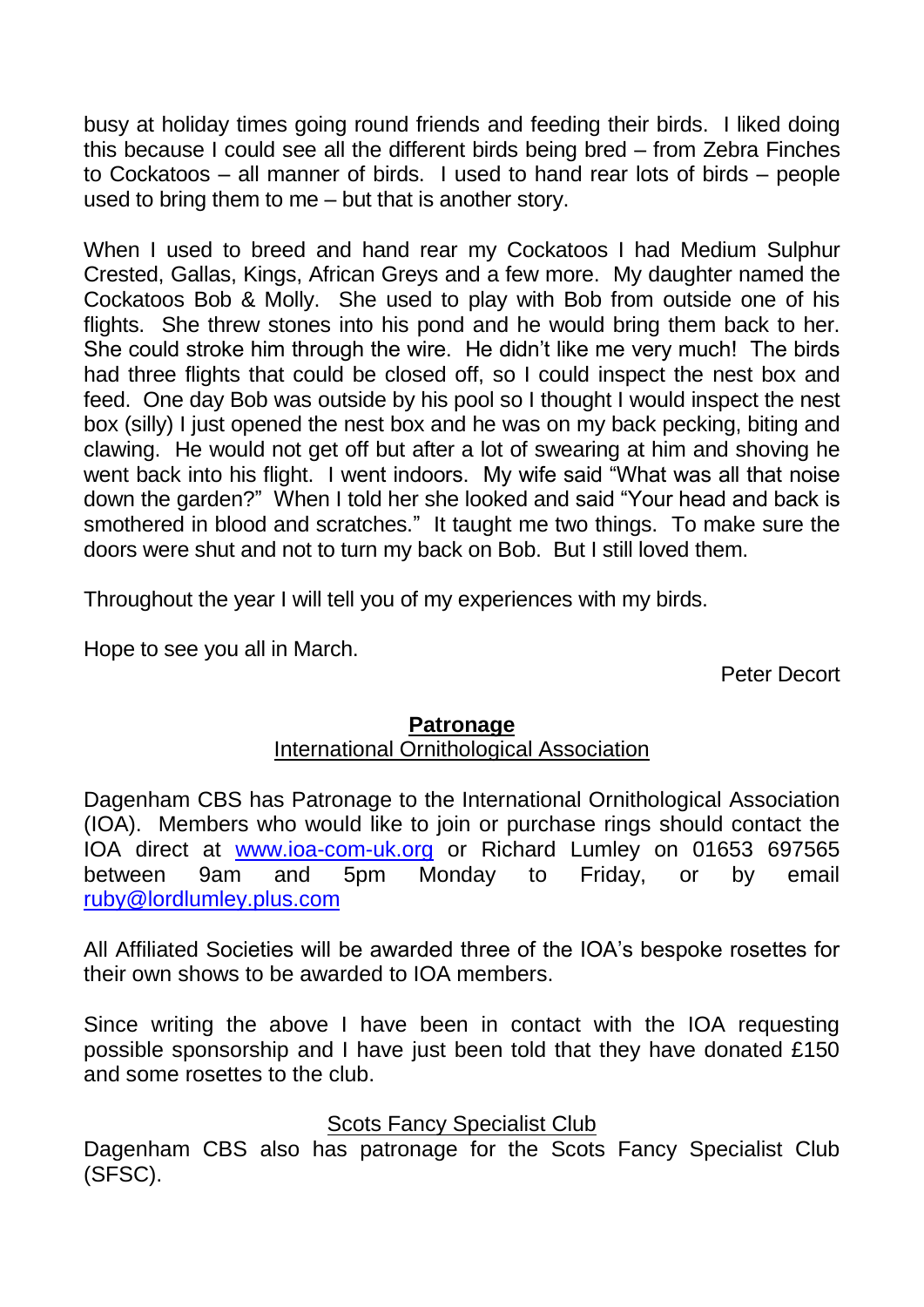busy at holiday times going round friends and feeding their birds. I liked doing this because I could see all the different birds being bred – from Zebra Finches to Cockatoos – all manner of birds. I used to hand rear lots of birds – people used to bring them to me – but that is another story.

When I used to breed and hand rear my Cockatoos I had Medium Sulphur Crested, Gallas, Kings, African Greys and a few more. My daughter named the Cockatoos Bob & Molly. She used to play with Bob from outside one of his flights. She threw stones into his pond and he would bring them back to her. She could stroke him through the wire. He didn't like me very much! The birds had three flights that could be closed off, so I could inspect the nest box and feed. One day Bob was outside by his pool so I thought I would inspect the nest box (silly) I just opened the nest box and he was on my back pecking, biting and clawing. He would not get off but after a lot of swearing at him and shoving he went back into his flight. I went indoors. My wife said "What was all that noise down the garden?" When I told her she looked and said "Your head and back is smothered in blood and scratches." It taught me two things. To make sure the doors were shut and not to turn my back on Bob. But I still loved them.

Throughout the year I will tell you of my experiences with my birds.

Hope to see you all in March.

Peter Decort

#### **Patronage**

#### International Ornithological Association

Dagenham CBS has Patronage to the International Ornithological Association (IOA). Members who would like to join or purchase rings should contact the IOA direct at [www.ioa-com-uk.org](http://www.ioa-com-uk.org/) or Richard Lumley on 01653 697565 between 9am and 5pm Monday to Friday, or by email [ruby@lordlumley.plus.com](javascript:handleMailto()

All Affiliated Societies will be awarded three of the IOA's bespoke rosettes for their own shows to be awarded to IOA members.

Since writing the above I have been in contact with the IOA requesting possible sponsorship and I have just been told that they have donated £150 and some rosettes to the club.

#### Scots Fancy Specialist Club

Dagenham CBS also has patronage for the Scots Fancy Specialist Club (SFSC).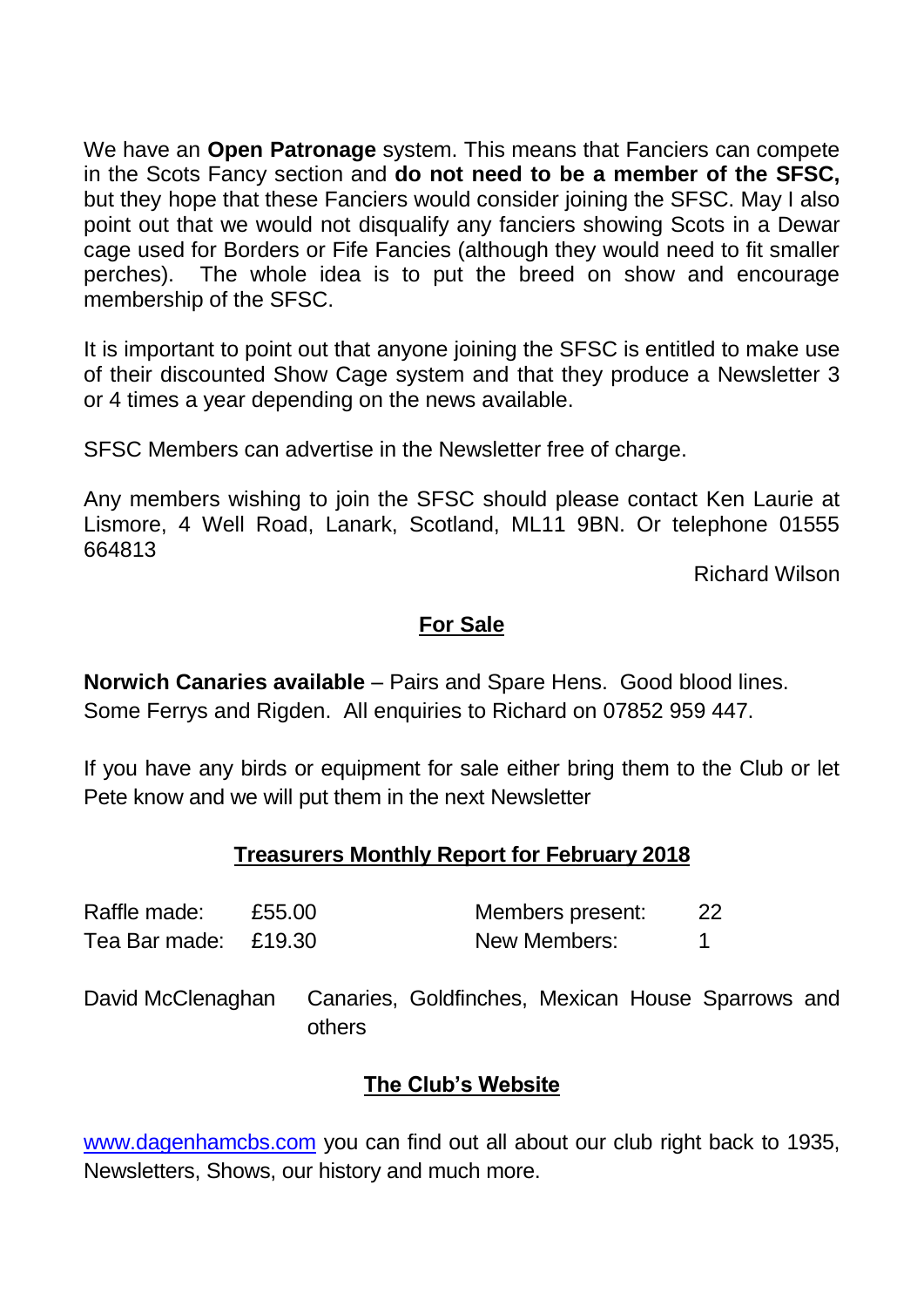We have an **Open Patronage** system. This means that Fanciers can compete in the Scots Fancy section and **do not need to be a member of the SFSC,**  but they hope that these Fanciers would consider joining the SFSC. May I also point out that we would not disqualify any fanciers showing Scots in a Dewar cage used for Borders or Fife Fancies (although they would need to fit smaller perches). The whole idea is to put the breed on show and encourage membership of the SFSC.

It is important to point out that anyone joining the SFSC is entitled to make use of their discounted Show Cage system and that they produce a Newsletter 3 or 4 times a year depending on the news available.

SFSC Members can advertise in the Newsletter free of charge.

Any members wishing to join the SFSC should please contact Ken Laurie at Lismore, 4 Well Road, Lanark, Scotland, ML11 9BN. Or telephone 01555 664813

Richard Wilson

#### **For Sale**

**Norwich Canaries available** – Pairs and Spare Hens. Good blood lines. Some Ferrys and Rigden. All enquiries to Richard on 07852 959 447.

If you have any birds or equipment for sale either bring them to the Club or let Pete know and we will put them in the next Newsletter

#### **Treasurers Monthly Report for February 2018**

| Raffle made:         | £55.00 | Members present: |  |
|----------------------|--------|------------------|--|
| Tea Bar made: £19.30 |        | New Members:     |  |

David McClenaghan Canaries, Goldfinches, Mexican House Sparrows and others

#### **The Club's Website**

[www.dagenhamcbs.com](http://www.dagenhamcbs.com/) you can find out all about our club right back to 1935, Newsletters, Shows, our history and much more.